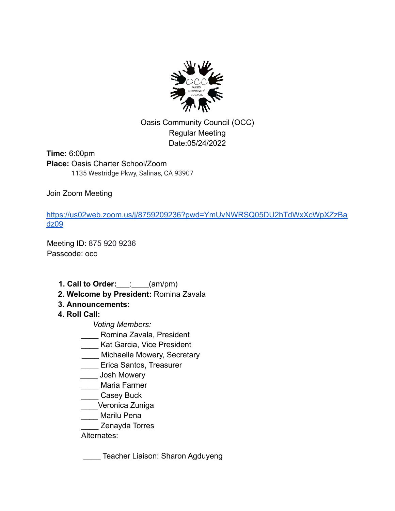

Oasis Community Council (OCC) Regular Meeting Date:05/24/2022

**Time:** 6:00pm **Place:** Oasis Charter School/Zoom 1135 Westridge Pkwy, Salinas, CA 93907

Join Zoom Meeting

https://us02web.zoom.us/j/8759209236?pwd=YmUvNWRSQ05DU2hTdWxXcWpXZzBa dz09

Meeting ID: 875 920 9236 Passcode: occ

- **1. Call to Order:**\_\_\_:\_\_\_\_(am/pm)
- **2. Welcome by President:** Romina Zavala
- **3. Announcements:**
- **4. Roll Call:**

*Voting Members:*

- \_\_\_\_ Romina Zavala, President
- **Lack Sarcia, Vice President**
- \_\_\_\_ Michaelle Mowery, Secretary
- \_\_\_\_ Erica Santos, Treasurer
- Lash Mowery
- \_\_\_\_ Maria Farmer
- \_\_\_\_ Casey Buck
- \_\_\_\_Veronica Zuniga
- \_\_\_\_ Marilu Pena
- \_\_\_\_ Zenayda Torres

### Alternates:

**\_\_\_\_\_** Teacher Liaison: Sharon Agduyeng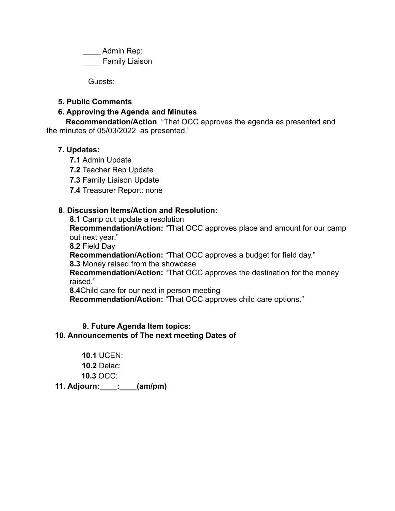Admin Rep: \_\_\_\_ Family Liaison

Guests:

#### **5. Public Comments**

#### **6. Approving the Agenda and Minutes**

**Recommendation/Action** "That OCC approves the agenda as presented and the minutes of 05/03/2022 as presented."

#### **7. Updates:**

- **7.1** Admin Update
- **7.2** Teacher Rep Update
- **7.3** Family Liaison Update
- **7.4** Treasurer Report: none

### **8**. **Discussion Items/Action and Resolution:**

**8.1** Camp out update a resolution

**Recommendation/Action:** "That OCC approves place and amount for our camp out next year."

**8.2** Field Day

**Recommendation/Action:** "That OCC approves a budget for field day."

**8.3** Money raised from the showcase

**Recommendation/Action:** "That OCC approves the destination for the money raised."

**8.4**Child care for our next in person meeting

**Recommendation/Action:** "That OCC approves child care options."

#### **9. Future Agenda Item topics:**

#### **10. Announcements of The next meeting Dates of**

**10.1** UCEN: **10.2** Delac: **10.3** OCC: **11. Adjourn:\_\_\_\_:\_\_\_\_(am/pm)**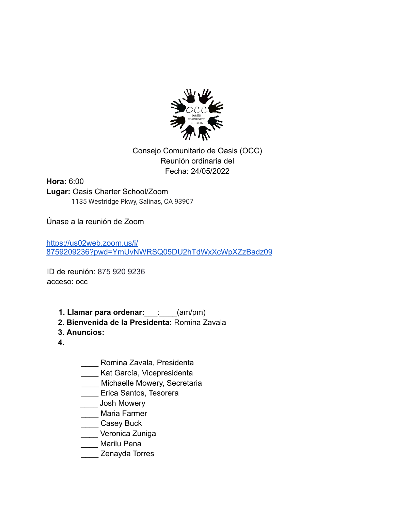

Consejo Comunitario de Oasis (OCC) Reunión ordinaria del Fecha: 24/05/2022

**Hora:** 6:00 **Lugar:** Oasis Charter School/Zoom 1135 Westridge Pkwy, Salinas, CA 93907

Únase a la reunión de Zoom

https://us02web.zoom.us/j/ 8759209236?pwd=YmUvNWRSQ05DU2hTdWxXcWpXZzBadz09

ID de reunión: 875 920 9236 acceso: occ

- **1. Llamar para ordenar:**\_\_\_:\_\_\_\_(am/pm)
- **2. Bienvenida de la Presidenta:** Romina Zavala
- **3. Anuncios:**
- **4.**
- \_\_\_\_ Romina Zavala, Presidenta
- \_\_\_\_ Kat García, Vicepresidenta
- \_\_\_\_ Michaelle Mowery, Secretaria
- Lucco Santos, Tesorera
- \_\_\_\_ Josh Mowery
- \_\_\_\_ Maria Farmer
- \_\_\_\_ Casey Buck
- \_\_\_\_ Veronica Zuniga
- Marilu Pena
- \_\_\_\_ Zenayda Torres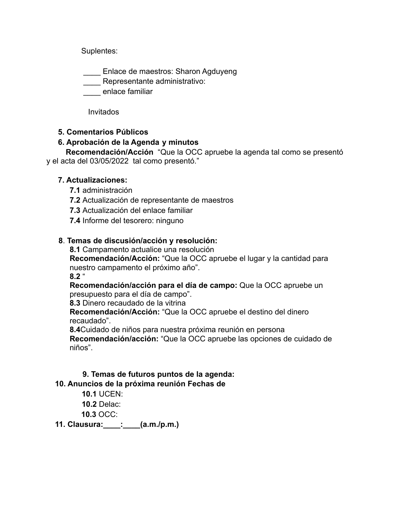Suplentes:

\_\_\_\_ Enlace de maestros: Sharon Agduyeng

**Lexter** Representante administrativo:

**\_\_\_\_** enlace familiar

Invitados

## **5. Comentarios Públicos**

### **6. Aprobación de la Agenda y minutos**

**Recomendación/Acción** "Que la OCC apruebe la agenda tal como se presentó y el acta del 03/05/2022 tal como presentó."

### **7. Actualizaciones:**

- **7.1** administración
- **7.2** Actualización de representante de maestros
- **7.3** Actualización del enlace familiar
- **7.4** Informe del tesorero: ninguno

### **8**. **Temas de discusión/acción y resolución:**

**8.1** Campamento actualice una resolución **Recomendación/Acción:** "Que la OCC apruebe el lugar y la cantidad para nuestro campamento el próximo año".

**8.2** "

**Recomendación/acción para el día de campo:** Que la OCC apruebe un presupuesto para el día de campo".

**8.3** Dinero recaudado de la vitrina

**Recomendación/Acción:** "Que la OCC apruebe el destino del dinero recaudado".

**8.4**Cuidado de niños para nuestra próxima reunión en persona **Recomendación/acción:** "Que la OCC apruebe las opciones de cuidado de niños".

# **9. Temas de futuros puntos de la agenda:**

## **10. Anuncios de la próxima reunión Fechas de**

**10.1** UCEN:

**10.2** Delac:

**10.3** OCC:

**11. Clausura:\_\_\_\_:\_\_\_\_(a.m./p.m.)**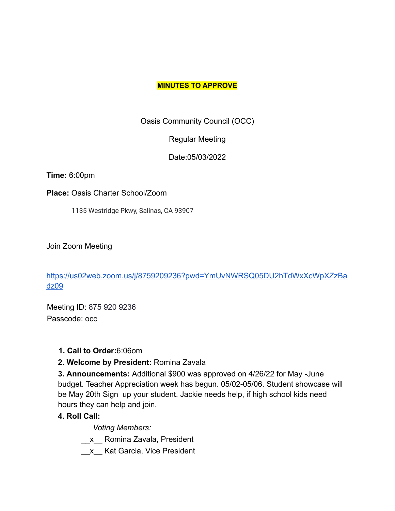#### **MINUTES TO APPROVE**

Oasis Community Council (OCC)

Regular Meeting

Date:05/03/2022

**Time:** 6:00pm

**Place:** Oasis Charter School/Zoom

1135 Westridge Pkwy, Salinas, CA 93907

Join Zoom Meeting

https://us02web.zoom.us/j/8759209236?pwd=YmUvNWRSQ05DU2hTdWxXcWpXZzBa dz09

Meeting ID: 875 920 9236 Passcode: occ

**1. Call to Order:**6:06om

**2. Welcome by President:** Romina Zavala

**3. Announcements:** Additional \$900 was approved on 4/26/22 for May -June budget. Teacher Appreciation week has begun. 05/02-05/06. Student showcase will be May 20th Sign up your student. Jackie needs help, if high school kids need hours they can help and join.

## **4. Roll Call:**

*Voting Members:*

\_\_x\_\_ Romina Zavala, President

\_\_x\_\_ Kat Garcia, Vice President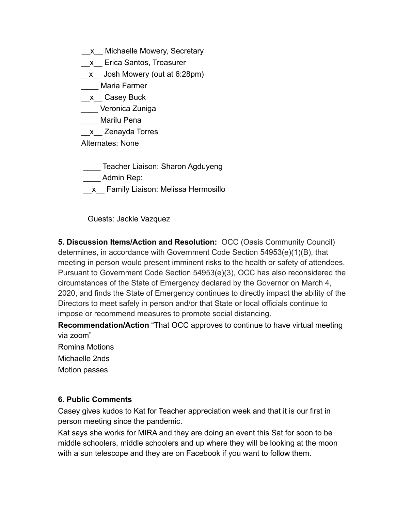- \_\_x\_\_ Michaelle Mowery, Secretary
- \_\_x\_\_ Erica Santos, Treasurer
- \_\_x\_\_ Josh Mowery (out at 6:28pm)
- Maria Farmer
- \_x\_ Casey Buck
- \_\_\_\_ Veronica Zuniga
- \_\_\_\_ Marilu Pena
- \_x\_ Zenayda Torres
- Alternates: None
- **Teacher Liaison: Sharon Agduyeng**
- Admin Rep:
- \_\_x\_\_ Family Liaison: Melissa Hermosillo

Guests: Jackie Vazquez

**5. Discussion Items/Action and Resolution:** OCC (Oasis Community Council) determines, in accordance with Government Code Section 54953(e)(1)(B), that meeting in person would present imminent risks to the health or safety of attendees. Pursuant to Government Code Section 54953(e)(3), OCC has also reconsidered the circumstances of the State of Emergency declared by the Governor on March 4, 2020, and finds the State of Emergency continues to directly impact the ability of the Directors to meet safely in person and/or that State or local officials continue to impose or recommend measures to promote social distancing.

**Recommendation/Action** "That OCC approves to continue to have virtual meeting via zoom"

- Romina Motions
- Michaelle 2nds
- Motion passes

### **6. Public Comments**

Casey gives kudos to Kat for Teacher appreciation week and that it is our first in person meeting since the pandemic.

Kat says she works for MIRA and they are doing an event this Sat for soon to be middle schoolers, middle schoolers and up where they will be looking at the moon with a sun telescope and they are on Facebook if you want to follow them.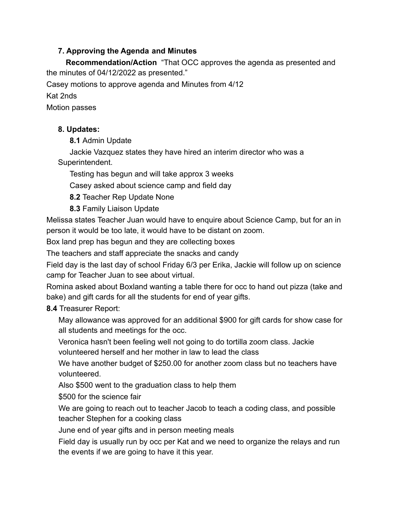### **7. Approving the Agenda and Minutes**

**Recommendation/Action** "That OCC approves the agenda as presented and the minutes of 04/12/2022 as presented."

Casey motions to approve agenda and Minutes from 4/12

Kat 2nds

Motion passes

## **8. Updates:**

**8.1** Admin Update

Jackie Vazquez states they have hired an interim director who was a Superintendent.

Testing has begun and will take approx 3 weeks

Casey asked about science camp and field day

**8.2** Teacher Rep Update None

**8.3** Family Liaison Update

Melissa states Teacher Juan would have to enquire about Science Camp, but for an in person it would be too late, it would have to be distant on zoom.

Box land prep has begun and they are collecting boxes

The teachers and staff appreciate the snacks and candy

Field day is the last day of school Friday 6/3 per Erika, Jackie will follow up on science camp for Teacher Juan to see about virtual.

Romina asked about Boxland wanting a table there for occ to hand out pizza (take and bake) and gift cards for all the students for end of year gifts.

### **8.4** Treasurer Report:

May allowance was approved for an additional \$900 for gift cards for show case for all students and meetings for the occ.

Veronica hasn't been feeling well not going to do tortilla zoom class. Jackie volunteered herself and her mother in law to lead the class

We have another budget of \$250.00 for another zoom class but no teachers have volunteered.

Also \$500 went to the graduation class to help them

\$500 for the science fair

We are going to reach out to teacher Jacob to teach a coding class, and possible teacher Stephen for a cooking class

June end of year gifts and in person meeting meals

Field day is usually run by occ per Kat and we need to organize the relays and run the events if we are going to have it this year.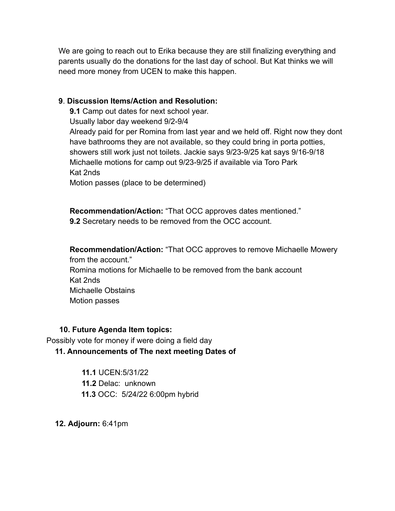We are going to reach out to Erika because they are still finalizing everything and parents usually do the donations for the last day of school. But Kat thinks we will need more money from UCEN to make this happen.

#### **9**. **Discussion Items/Action and Resolution:**

**9.1** Camp out dates for next school year.

Usually labor day weekend 9/2-9/4

Already paid for per Romina from last year and we held off. Right now they dont have bathrooms they are not available, so they could bring in porta potties, showers still work just not toilets. Jackie says 9/23-9/25 kat says 9/16-9/18 Michaelle motions for camp out 9/23-9/25 if available via Toro Park Kat 2nds

Motion passes (place to be determined)

**Recommendation/Action:** "That OCC approves dates mentioned." **9.2** Secretary needs to be removed from the OCC account.

**Recommendation/Action:** "That OCC approves to remove Michaelle Mowery from the account." Romina motions for Michaelle to be removed from the bank account Kat 2nds Michaelle Obstains Motion passes

### **10. Future Agenda Item topics:**

Possibly vote for money if were doing a field day

**11. Announcements of The next meeting Dates of**

**11.1** UCEN:5/31/22 **11.2** Delac: unknown **11.3** OCC: 5/24/22 6:00pm hybrid

**12. Adjourn:** 6:41pm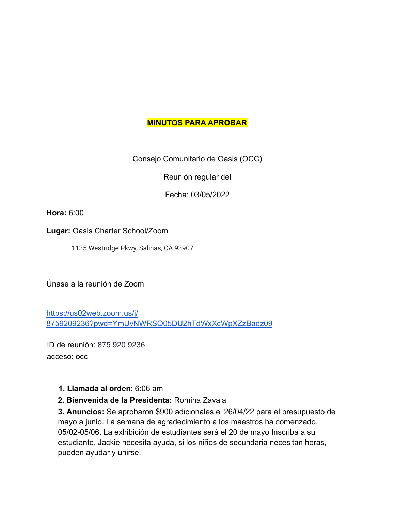### **MINUTOS PARA APROBAR**

Consejo Comunitario de Oasis (OCC)

Reunión regular del

Fecha: 03/05/2022

**Hora:** 6:00

**Lugar:** Oasis Charter School/Zoom

1135 Westridge Pkwy, Salinas, CA 93907

Únase a la reunión de Zoom

https://us02web.zoom.us/j/ 8759209236?pwd=YmUvNWRSQ05DU2hTdWxXcWpXZzBadz09

ID de reunión: 875 920 9236 acceso: occ

### **1. Llamada al orden**: 6:06 am

### **2. Bienvenida de la Presidenta:** Romina Zavala

**3. Anuncios:** Se aprobaron \$900 adicionales el 26/04/22 para el presupuesto de mayo a junio. La semana de agradecimiento a los maestros ha comenzado. 05/02-05/06. La exhibición de estudiantes será el 20 de mayo Inscriba a su estudiante. Jackie necesita ayuda, si los niños de secundaria necesitan horas, pueden ayudar y unirse.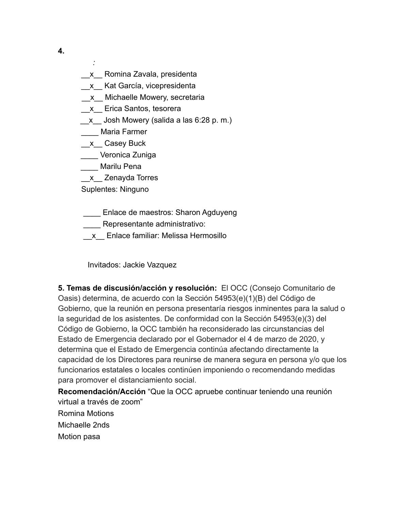- *:*
- x Romina Zavala, presidenta \_\_x\_\_ Kat García, vicepresidenta
- \_x\_ Michaelle Mowery, secretaria
- \_\_x\_\_ Erica Santos, tesorera
- x Josh Mowery (salida a las 6:28 p. m.)
- \_\_\_\_ Maria Farmer
- \_x\_ Casey Buck
- \_\_\_\_ Veronica Zuniga
- \_\_\_\_ Marilu Pena
- \_\_x\_\_ Zenayda Torres

Suplentes: Ninguno

**\_\_\_\_** Enlace de maestros: Sharon Agduyeng

Representante administrativo:

\_\_x\_\_ Enlace familiar: Melissa Hermosillo

Invitados: Jackie Vazquez

**5. Temas de discusión/acción y resolución:** El OCC (Consejo Comunitario de Oasis) determina, de acuerdo con la Sección 54953(e)(1)(B) del Código de Gobierno, que la reunión en persona presentaría riesgos inminentes para la salud o la seguridad de los asistentes. De conformidad con la Sección 54953(e)(3) del Código de Gobierno, la OCC también ha reconsiderado las circunstancias del Estado de Emergencia declarado por el Gobernador el 4 de marzo de 2020, y determina que el Estado de Emergencia continúa afectando directamente la capacidad de los Directores para reunirse de manera segura en persona y/o que los funcionarios estatales o locales continúen imponiendo o recomendando medidas para promover el distanciamiento social.

**Recomendación/Acción** "Que la OCC apruebe continuar teniendo una reunión virtual a través de zoom" Romina Motions Michaelle 2nds

Motion pasa

**4.**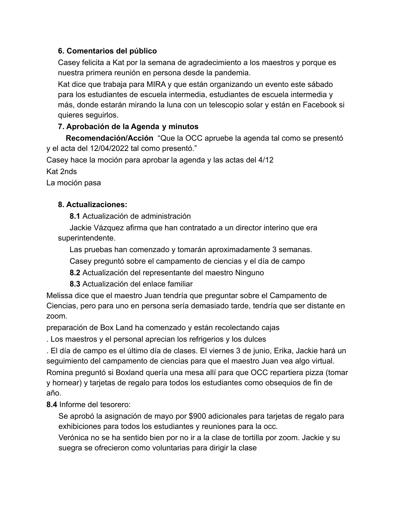### **6. Comentarios del público**

Casey felicita a Kat por la semana de agradecimiento a los maestros y porque es nuestra primera reunión en persona desde la pandemia.

Kat dice que trabaja para MIRA y que están organizando un evento este sábado para los estudiantes de escuela intermedia, estudiantes de escuela intermedia y más, donde estarán mirando la luna con un telescopio solar y están en Facebook si quieres seguirlos.

## **7. Aprobación de la Agenda y minutos**

**Recomendación/Acción** "Que la OCC apruebe la agenda tal como se presentó y el acta del 12/04/2022 tal como presentó."

Casey hace la moción para aprobar la agenda y las actas del 4/12

Kat 2nds

La moción pasa

## **8. Actualizaciones:**

**8.1** Actualización de administración

Jackie Vázquez afirma que han contratado a un director interino que era superintendente.

Las pruebas han comenzado y tomarán aproximadamente 3 semanas.

Casey preguntó sobre el campamento de ciencias y el día de campo

**8.2** Actualización del representante del maestro Ninguno

**8.3** Actualización del enlace familiar

Melissa dice que el maestro Juan tendría que preguntar sobre el Campamento de Ciencias, pero para uno en persona sería demasiado tarde, tendría que ser distante en zoom.

preparación de Box Land ha comenzado y están recolectando cajas

. Los maestros y el personal aprecian los refrigerios y los dulces

. El día de campo es el último día de clases. El viernes 3 de junio, Erika, Jackie hará un seguimiento del campamento de ciencias para que el maestro Juan vea algo virtual. Romina preguntó si Boxland quería una mesa allí para que OCC repartiera pizza (tomar y hornear) y tarjetas de regalo para todos los estudiantes como obsequios de fin de año.

**8.4** Informe del tesorero:

Se aprobó la asignación de mayo por \$900 adicionales para tarjetas de regalo para exhibiciones para todos los estudiantes y reuniones para la occ.

Verónica no se ha sentido bien por no ir a la clase de tortilla por zoom. Jackie y su suegra se ofrecieron como voluntarias para dirigir la clase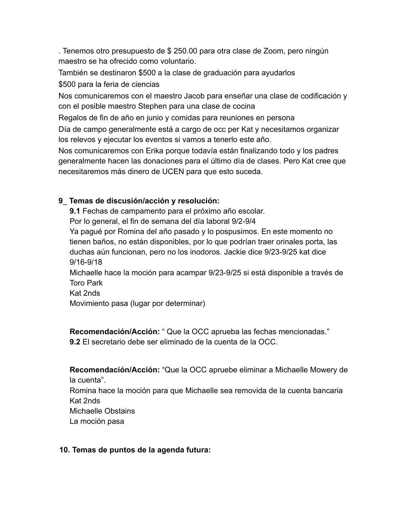. Tenemos otro presupuesto de \$ 250.00 para otra clase de Zoom, pero ningún maestro se ha ofrecido como voluntario.

También se destinaron \$500 a la clase de graduación para ayudarlos

\$500 para la feria de ciencias

Nos comunicaremos con el maestro Jacob para enseñar una clase de codificación y con el posible maestro Stephen para una clase de cocina

Regalos de fin de año en junio y comidas para reuniones en persona

Día de campo generalmente está a cargo de occ per Kat y necesitamos organizar los relevos y ejecutar los eventos si vamos a tenerlo este año.

Nos comunicaremos con Erika porque todavía están finalizando todo y los padres generalmente hacen las donaciones para el último día de clases. Pero Kat cree que necesitaremos más dinero de UCEN para que esto suceda.

# **9**\_ **Temas de discusión/acción y resolución:**

**9.1** Fechas de campamento para el próximo año escolar.

Por lo general, el fin de semana del día laboral 9/2-9/4

Ya pagué por Romina del año pasado y lo pospusimos. En este momento no tienen baños, no están disponibles, por lo que podrían traer orinales porta, las duchas aún funcionan, pero no los inodoros. Jackie dice 9/23-9/25 kat dice 9/16-9/18

Michaelle hace la moción para acampar 9/23-9/25 si está disponible a través de Toro Park

Kat 2nds

Movimiento pasa (lugar por determinar)

**Recomendación/Acción:** " Que la OCC aprueba las fechas mencionadas." **9.2** El secretario debe ser eliminado de la cuenta de la OCC.

**Recomendación/Acción:** "Que la OCC apruebe eliminar a Michaelle Mowery de la cuenta".

Romina hace la moción para que Michaelle sea removida de la cuenta bancaria Kat 2nds

Michaelle Obstains

La moción pasa

## **10. Temas de puntos de la agenda futura:**